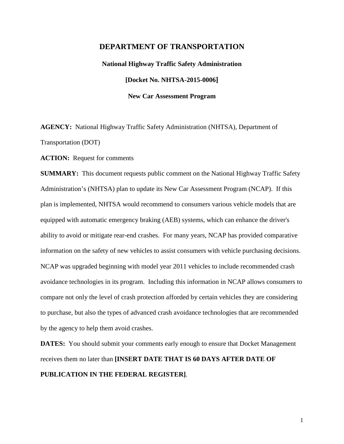## **DEPARTMENT OF TRANSPORTATION**

**National Highway Traffic Safety Administration [Docket No. NHTSA-2015-0006] New Car Assessment Program**

**AGENCY:** National Highway Traffic Safety Administration (NHTSA), Department of Transportation (DOT)

**ACTION:** Request for comments

**SUMMARY:** This document requests public comment on the National Highway Traffic Safety Administration's (NHTSA) plan to update its New Car Assessment Program (NCAP). If this plan is implemented, NHTSA would recommend to consumers various vehicle models that are equipped with automatic emergency braking (AEB) systems, which can enhance the driver's ability to avoid or mitigate rear-end crashes. For many years, NCAP has provided comparative information on the safety of new vehicles to assist consumers with vehicle purchasing decisions. NCAP was upgraded beginning with model year 2011 vehicles to include recommended crash avoidance technologies in its program. Including this information in NCAP allows consumers to compare not only the level of crash protection afforded by certain vehicles they are considering to purchase, but also the types of advanced crash avoidance technologies that are recommended by the agency to help them avoid crashes.

**DATES:** You should submit your comments early enough to ensure that Docket Management receives them no later than **[INSERT DATE THAT IS 60 DAYS AFTER DATE OF PUBLICATION IN THE FEDERAL REGISTER]**.

1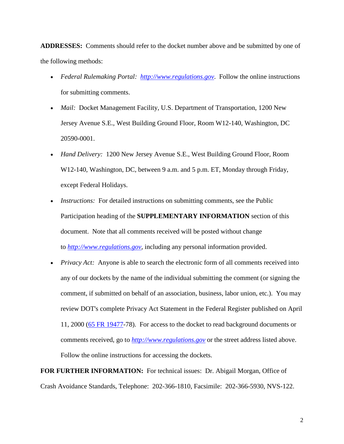**ADDRESSES:** Comments should refer to the docket number above and be submitted by one of the following methods:

- *Federal Rulemaking Portal: [http://www.regulations.gov](http://www.regulations.gov/)*. Follow the online instructions for submitting comments.
- *Mail:* Docket Management Facility, U.S. Department of Transportation, 1200 New Jersey Avenue S.E., West Building Ground Floor, Room W12-140, Washington, DC 20590-0001.
- *Hand Delivery:* 1200 New Jersey Avenue S.E., West Building Ground Floor, Room W12-140, Washington, DC, between 9 a.m. and 5 p.m. ET, Monday through Friday, except Federal Holidays.
- *Instructions:* For detailed instructions on submitting comments, see the Public Participation heading of the **SUPPLEMENTARY INFORMATION** section of this document. Note that all comments received will be posted without change to *[http://www.regulations.gov,](http://www.regulations.gov/)* including any personal information provided.
- *Privacy Act:* Anyone is able to search the electronic form of all comments received into any of our dockets by the name of the individual submitting the comment (or signing the comment, if submitted on behalf of an association, business, labor union, etc.). You may review DOT's complete Privacy Act Statement in the Federal Register published on April 11, 2000 [\(65 FR 19477-](https://www.federalregister.gov/citation/65-FR-19477)78). For access to the docket to read background documents or comments received, go to *[http://www.regulations.gov](http://www.regulations.gov/)* or the street address listed above. Follow the online instructions for accessing the dockets.

**FOR FURTHER INFORMATION:** For technical issues: Dr. Abigail Morgan, Office of Crash Avoidance Standards, Telephone: 202-366-1810, Facsimile: 202-366-5930, NVS-122.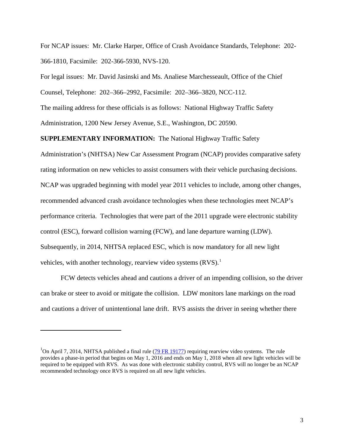For NCAP issues: Mr. Clarke Harper, Office of Crash Avoidance Standards, Telephone: 202- 366-1810, Facsimile: 202-366-5930, NVS-120.

For legal issues: Mr. David Jasinski and Ms. Analiese Marchesseault, Office of the Chief

Counsel, Telephone: 202–366–2992, Facsimile: 202–366–3820, NCC-112.

The mailing address for these officials is as follows: National Highway Traffic Safety

Administration, 1200 New Jersey Avenue, S.E., Washington, DC 20590.

**SUPPLEMENTARY INFORMATION:** The National Highway Traffic Safety

Administration's (NHTSA) New Car Assessment Program (NCAP) provides comparative safety rating information on new vehicles to assist consumers with their vehicle purchasing decisions. NCAP was upgraded beginning with model year 2011 vehicles to include, among other changes, recommended advanced crash avoidance technologies when these technologies meet NCAP's performance criteria. Technologies that were part of the 2011 upgrade were electronic stability control (ESC), forward collision warning (FCW), and lane departure warning (LDW). Subsequently, in 2014, NHTSA replaced ESC, which is now mandatory for all new light vehicles, with another technology, rearview video systems (RVS).<sup>[1](#page-2-0)</sup>

FCW detects vehicles ahead and cautions a driver of an impending collision, so the driver can brake or steer to avoid or mitigate the collision. LDW monitors lane markings on the road and cautions a driver of unintentional lane drift. RVS assists the driver in seeing whether there

 $\overline{\phantom{0}}$ 

<span id="page-2-0"></span><sup>&</sup>lt;sup>1</sup>On April 7, 2014, NHTSA published a final rule ( $\frac{79 \text{ FR}}{19177}$ ) requiring rearview video systems. The rule provides a phase-in period that begins on May 1, 2016 and ends on May 1, 2018 when all new light vehicles will be required to be equipped with RVS. As was done with electronic stability control, RVS will no longer be an NCAP recommended technology once RVS is required on all new light vehicles.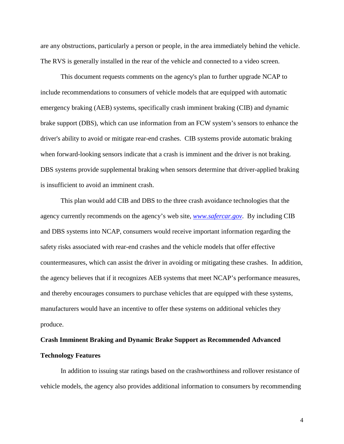are any obstructions, particularly a person or people, in the area immediately behind the vehicle. The RVS is generally installed in the rear of the vehicle and connected to a video screen.

This document requests comments on the agency's plan to further upgrade NCAP to include recommendations to consumers of vehicle models that are equipped with automatic emergency braking (AEB) systems, specifically crash imminent braking (CIB) and dynamic brake support (DBS), which can use information from an FCW system's sensors to enhance the driver's ability to avoid or mitigate rear-end crashes. CIB systems provide automatic braking when forward-looking sensors indicate that a crash is imminent and the driver is not braking. DBS systems provide supplemental braking when sensors determine that driver-applied braking is insufficient to avoid an imminent crash.

This plan would add CIB and DBS to the three crash avoidance technologies that the agency currently recommends on the agency's web site, *[www.safercar.gov](http://www.safercar.gov/)*. By including CIB and DBS systems into NCAP, consumers would receive important information regarding the safety risks associated with rear-end crashes and the vehicle models that offer effective countermeasures, which can assist the driver in avoiding or mitigating these crashes. In addition, the agency believes that if it recognizes AEB systems that meet NCAP's performance measures, and thereby encourages consumers to purchase vehicles that are equipped with these systems, manufacturers would have an incentive to offer these systems on additional vehicles they produce.

# **Crash Imminent Braking and Dynamic Brake Support as Recommended Advanced Technology Features**

In addition to issuing star ratings based on the crashworthiness and rollover resistance of vehicle models, the agency also provides additional information to consumers by recommending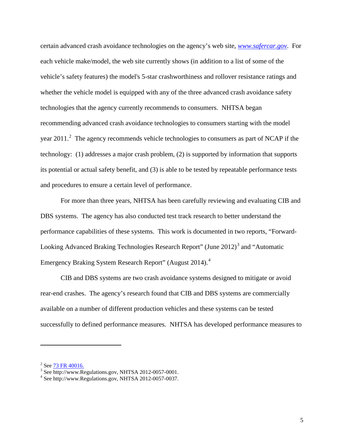certain advanced crash avoidance technologies on the agency's web site, *[www.safercar.gov](http://www.safercar.gov/)*. For each vehicle make/model, the web site currently shows (in addition to a list of some of the vehicle's safety features) the model's 5-star crashworthiness and rollover resistance ratings and whether the vehicle model is equipped with any of the three advanced crash avoidance safety technologies that the agency currently recommends to consumers. NHTSA began recommending advanced crash avoidance technologies to consumers starting with the model year [2](#page-4-0)011.<sup>2</sup> The agency recommends vehicle technologies to consumers as part of NCAP if the technology: (1) addresses a major crash problem, (2) is supported by information that supports its potential or actual safety benefit, and (3) is able to be tested by repeatable performance tests and procedures to ensure a certain level of performance.

For more than three years, NHTSA has been carefully reviewing and evaluating CIB and DBS systems. The agency has also conducted test track research to better understand the performance capabilities of these systems. This work is documented in two reports, "Forward-Looking Advanced Braking Technologies Research Report" (June 2012)<sup>[3](#page-4-1)</sup> and "Automatic Emergency Braking System Research Report" (August 201[4](#page-4-2)).<sup>4</sup>

CIB and DBS systems are two crash avoidance systems designed to mitigate or avoid rear-end crashes. The agency's research found that CIB and DBS systems are commercially available on a number of different production vehicles and these systems can be tested successfully to defined performance measures. NHTSA has developed performance measures to

<span id="page-4-1"></span><span id="page-4-0"></span><sup>&</sup>lt;sup>2</sup> See  $73$  FR 40016.<br><sup>3</sup> See http://www.Regulations.gov, NHTSA 2012-0057-0001.<br><sup>4</sup> See http://www.Regulations.gov, NHTSA 2012-0057-0037.

<span id="page-4-2"></span>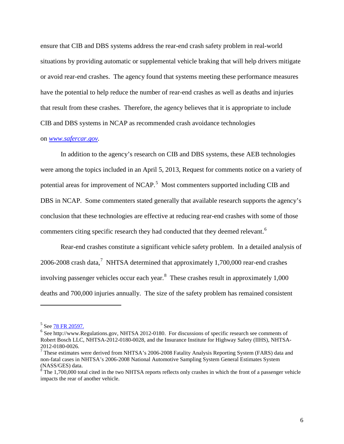ensure that CIB and DBS systems address the rear-end crash safety problem in real-world situations by providing automatic or supplemental vehicle braking that will help drivers mitigate or avoid rear-end crashes. The agency found that systems meeting these performance measures have the potential to help reduce the number of rear-end crashes as well as deaths and injuries that result from these crashes. Therefore, the agency believes that it is appropriate to include CIB and DBS systems in NCAP as recommended crash avoidance technologies

### on *[www.safercar.gov.](http://www.safercar.gov/)*

In addition to the agency's research on CIB and DBS systems, these AEB technologies were among the topics included in an April 5, 2013, Request for comments notice on a variety of potential areas for improvement of NCAP.<sup>[5](#page-5-0)</sup> Most commenters supported including CIB and DBS in NCAP. Some commenters stated generally that available research supports the agency's conclusion that these technologies are effective at reducing rear-end crashes with some of those commenters citing specific research they had conducted that they deemed relevant.<sup>[6](#page-5-1)</sup>

Rear-end crashes constitute a significant vehicle safety problem. In a detailed analysis of 2006-2008 crash data,<sup>[7](#page-5-2)</sup> NHTSA determined that approximately 1,700,000 rear-end crashes involving passenger vehicles occur each year.<sup>[8](#page-5-3)</sup> These crashes result in approximately 1,000 deaths and 700,000 injuries annually. The size of the safety problem has remained consistent

<span id="page-5-0"></span><sup>&</sup>lt;sup>5</sup> See [78 FR 20597.](https://www.federalregister.gov/articles/2013/04/05/2013-07766/new-car-assessment-program-ncap)

<span id="page-5-1"></span> $6$  See http://www.Regulations.gov, NHTSA 2012-0180. For discussions of specific research see comments of Robert Bosch LLC, NHTSA-2012-0180-0028, and the Insurance Institute for Highway Safety (IIHS), NHTSA-

<span id="page-5-2"></span><sup>2012-0180-0026.</sup> <sup>7</sup> These estimates were derived from NHTSA's 2006-2008 Fatality Analysis Reporting System (FARS) data and non-fatal cases in NHTSA's 2006-2008 National Automotive Sampling System General Estimates System (NASS/GES) data.

<span id="page-5-3"></span> $8$  The 1,700,000 total cited in the two NHTSA reports reflects only crashes in which the front of a passenger vehicle impacts the rear of another vehicle.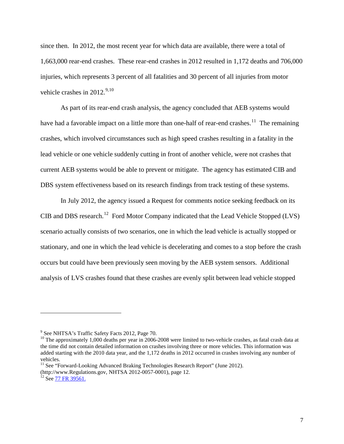since then. In 2012, the most recent year for which data are available, there were a total of 1,663,000 rear-end crashes. These rear-end crashes in 2012 resulted in 1,172 deaths and 706,000 injuries, which represents 3 percent of all fatalities and 30 percent of all injuries from motor vehicle crashes in  $2012.^{9,10}$  $2012.^{9,10}$  $2012.^{9,10}$  $2012.^{9,10}$ 

As part of its rear-end crash analysis, the agency concluded that AEB systems would have had a favorable impact on a little more than one-half of rear-end crashes.<sup>[11](#page-6-2)</sup> The remaining crashes, which involved circumstances such as high speed crashes resulting in a fatality in the lead vehicle or one vehicle suddenly cutting in front of another vehicle, were not crashes that current AEB systems would be able to prevent or mitigate. The agency has estimated CIB and DBS system effectiveness based on its research findings from track testing of these systems.

In July 2012, the agency issued a Request for comments notice seeking feedback on its CIB and DBS research.<sup>[12](#page-6-3)</sup> Ford Motor Company indicated that the Lead Vehicle Stopped (LVS) scenario actually consists of two scenarios, one in which the lead vehicle is actually stopped or stationary, and one in which the lead vehicle is decelerating and comes to a stop before the crash occurs but could have been previously seen moving by the AEB system sensors. Additional analysis of LVS crashes found that these crashes are evenly split between lead vehicle stopped

<span id="page-6-1"></span><span id="page-6-0"></span><sup>&</sup>lt;sup>9</sup> See NHTSA's Traffic Safety Facts 2012, Page 70.<br><sup>10</sup> The approximately 1,000 deaths per year in 2006-2008 were limited to two-vehicle crashes, as fatal crash data at the time did not contain detailed information on crashes involving three or more vehicles. This information was added starting with the 2010 data year, and the 1,172 deaths in 2012 occurred in crashes involving any number of vehicles.

<span id="page-6-2"></span><sup>&</sup>lt;sup>11</sup> See "Forward-Looking Advanced Braking Technologies Research Report" (June 2012).

<span id="page-6-3"></span><sup>(</sup>http://www.Regulations.gov, NHTSA 2012-0057-0001), page 12.<br><sup>12</sup> See [77 FR 39561.](https://www.federalregister.gov/articles/2012/07/03/2012-16250/advanced-braking-technologies-that-rely-on-forward-looking-sensors-request-for-comments)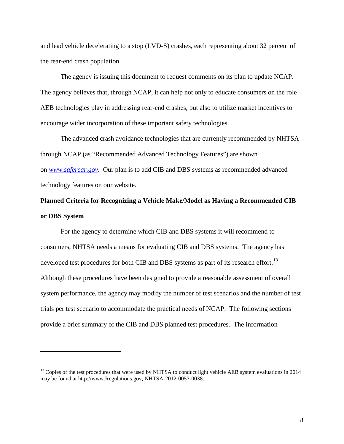and lead vehicle decelerating to a stop (LVD-S) crashes, each representing about 32 percent of the rear-end crash population.

The agency is issuing this document to request comments on its plan to update NCAP. The agency believes that, through NCAP, it can help not only to educate consumers on the role AEB technologies play in addressing rear-end crashes, but also to utilize market incentives to encourage wider incorporation of these important safety technologies.

The advanced crash avoidance technologies that are currently recommended by NHTSA through NCAP (as "Recommended Advanced Technology Features") are shown on *[www.safercar.gov](http://www.safercar.gov/)*. Our plan is to add CIB and DBS systems as recommended advanced technology features on our website.

# **Planned Criteria for Recognizing a Vehicle Make/Model as Having a Recommended CIB or DBS System**

For the agency to determine which CIB and DBS systems it will recommend to consumers, NHTSA needs a means for evaluating CIB and DBS systems. The agency has developed test procedures for both CIB and DBS systems as part of its research effort.<sup>[13](#page-7-0)</sup> Although these procedures have been designed to provide a reasonable assessment of overall system performance, the agency may modify the number of test scenarios and the number of test trials per test scenario to accommodate the practical needs of NCAP. The following sections provide a brief summary of the CIB and DBS planned test procedures. The information

<span id="page-7-0"></span> $13$  Copies of the test procedures that were used by NHTSA to conduct light vehicle AEB system evaluations in 2014 may be found at http://www.Regulations.gov, NHTSA-2012-0057-0038.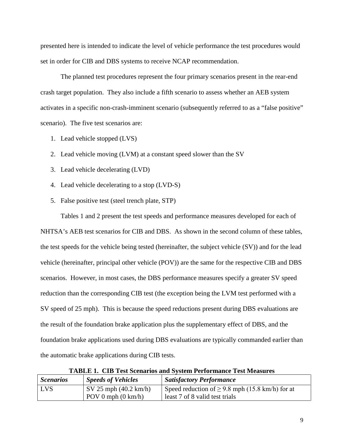presented here is intended to indicate the level of vehicle performance the test procedures would set in order for CIB and DBS systems to receive NCAP recommendation.

The planned test procedures represent the four primary scenarios present in the rear-end crash target population. They also include a fifth scenario to assess whether an AEB system activates in a specific non-crash-imminent scenario (subsequently referred to as a "false positive" scenario). The five test scenarios are:

- 1. Lead vehicle stopped (LVS)
- 2. Lead vehicle moving (LVM) at a constant speed slower than the SV
- 3. Lead vehicle decelerating (LVD)
- 4. Lead vehicle decelerating to a stop (LVD-S)
- 5. False positive test (steel trench plate, STP)

Tables 1 and 2 present the test speeds and performance measures developed for each of

NHTSA's AEB test scenarios for CIB and DBS. As shown in the second column of these tables, the test speeds for the vehicle being tested (hereinafter, the subject vehicle (SV)) and for the lead vehicle (hereinafter, principal other vehicle (POV)) are the same for the respective CIB and DBS scenarios. However, in most cases, the DBS performance measures specify a greater SV speed reduction than the corresponding CIB test (the exception being the LVM test performed with a SV speed of 25 mph). This is because the speed reductions present during DBS evaluations are the result of the foundation brake application plus the supplementary effect of DBS, and the foundation brake applications used during DBS evaluations are typically commanded earlier than the automatic brake applications during CIB tests.

| <b>Scenarios</b> | <b>Speeds of Vehicles</b>                               | <i><b>Satisfactory Performance</b></i>               |
|------------------|---------------------------------------------------------|------------------------------------------------------|
| <b>LVS</b>       | $\sqrt{\text{SV } 25 \text{ mph } (40.2 \text{ km/h})}$ | Speed reduction of $\geq$ 9.8 mph (15.8 km/h) for at |
|                  | $POV0$ mph $(0 \text{ km/h})$                           | least 7 of 8 valid test trials                       |

**TABLE 1. CIB Test Scenarios and System Performance Test Measures**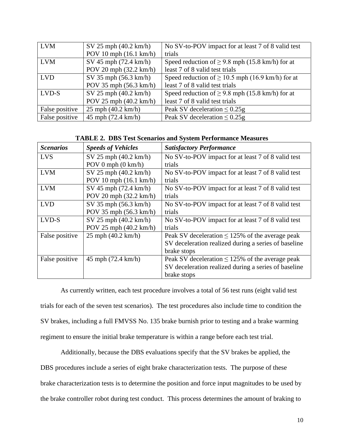| <b>LVM</b>     | $SV 25$ mph $(40.2$ km/h)        | No SV-to-POV impact for at least 7 of 8 valid test    |
|----------------|----------------------------------|-------------------------------------------------------|
|                | POV 10 mph $(16.1 \text{ km/h})$ | trials                                                |
| <b>LVM</b>     | SV 45 mph (72.4 km/h)            | Speed reduction of $\geq$ 9.8 mph (15.8 km/h) for at  |
|                | POV 20 mph (32.2 km/h)           | least 7 of 8 valid test trials                        |
| <b>LVD</b>     | $SV$ 35 mph (56.3 km/h)          | Speed reduction of $\geq 10.5$ mph (16.9 km/h) for at |
|                | POV 35 mph (56.3 km/h)           | least 7 of 8 valid test trials                        |
| LVD-S          | $SV 25$ mph $(40.2$ km/h)        | Speed reduction of $\geq$ 9.8 mph (15.8 km/h) for at  |
|                | POV 25 mph (40.2 km/h)           | least 7 of 8 valid test trials                        |
| False positive | $25$ mph $(40.2$ km/h)           | Peak SV deceleration $\leq 0.25$ g                    |
| False positive | 45 mph (72.4 km/h)               | Peak SV deceleration $\leq 0.25$ g                    |

**TABLE 2. DBS Test Scenarios and System Performance Measures**

| <b>Scenarios</b> | <b>Speeds of Vehicles</b>        | <b>Satisfactory Performance</b>                      |
|------------------|----------------------------------|------------------------------------------------------|
| <b>LVS</b>       | SV 25 mph (40.2 km/h)            | No SV-to-POV impact for at least 7 of 8 valid test   |
|                  | POV 0 mph $(0 \text{ km/h})$     | trials                                               |
| <b>LVM</b>       | $SV 25$ mph $(40.2$ km/h)        | No SV-to-POV impact for at least 7 of 8 valid test   |
|                  | POV 10 mph $(16.1 \text{ km/h})$ | trials                                               |
| <b>LVM</b>       | $SV$ 45 mph (72.4 km/h)          | No SV-to-POV impact for at least 7 of 8 valid test   |
|                  | POV 20 mph $(32.2 \text{ km/h})$ | trials                                               |
| <b>LVD</b>       | $SV$ 35 mph (56.3 km/h)          | No SV-to-POV impact for at least 7 of 8 valid test   |
|                  | POV 35 mph (56.3 km/h)           | trials                                               |
| LVD-S            | $SV 25$ mph $(40.2$ km/h)        | No SV-to-POV impact for at least 7 of 8 valid test   |
|                  | POV 25 mph $(40.2 \text{ km/h})$ | trials                                               |
| False positive   | $25$ mph $(40.2$ km/h)           | Peak SV deceleration $\leq$ 125% of the average peak |
|                  |                                  | SV deceleration realized during a series of baseline |
|                  |                                  | brake stops                                          |
| False positive   | 45 mph $(72.4 \text{ km/h})$     | Peak SV deceleration $\leq$ 125% of the average peak |
|                  |                                  | SV deceleration realized during a series of baseline |
|                  |                                  | brake stops                                          |

As currently written, each test procedure involves a total of 56 test runs (eight valid test trials for each of the seven test scenarios). The test procedures also include time to condition the SV brakes, including a full FMVSS No. 135 brake burnish prior to testing and a brake warming regiment to ensure the initial brake temperature is within a range before each test trial.

Additionally, because the DBS evaluations specify that the SV brakes be applied, the DBS procedures include a series of eight brake characterization tests. The purpose of these brake characterization tests is to determine the position and force input magnitudes to be used by the brake controller robot during test conduct. This process determines the amount of braking to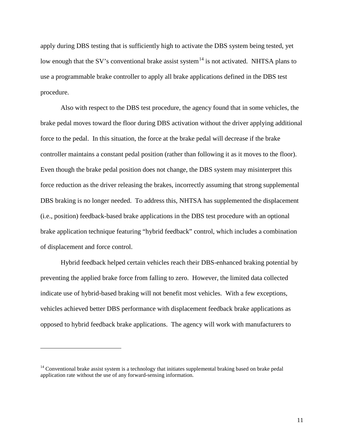apply during DBS testing that is sufficiently high to activate the DBS system being tested, yet low enough that the SV's conventional brake assist system<sup>[14](#page-10-0)</sup> is not activated. NHTSA plans to use a programmable brake controller to apply all brake applications defined in the DBS test procedure.

Also with respect to the DBS test procedure, the agency found that in some vehicles, the brake pedal moves toward the floor during DBS activation without the driver applying additional force to the pedal. In this situation, the force at the brake pedal will decrease if the brake controller maintains a constant pedal position (rather than following it as it moves to the floor). Even though the brake pedal position does not change, the DBS system may misinterpret this force reduction as the driver releasing the brakes, incorrectly assuming that strong supplemental DBS braking is no longer needed. To address this, NHTSA has supplemented the displacement (i.e., position) feedback-based brake applications in the DBS test procedure with an optional brake application technique featuring "hybrid feedback" control, which includes a combination of displacement and force control.

Hybrid feedback helped certain vehicles reach their DBS-enhanced braking potential by preventing the applied brake force from falling to zero. However, the limited data collected indicate use of hybrid-based braking will not benefit most vehicles. With a few exceptions, vehicles achieved better DBS performance with displacement feedback brake applications as opposed to hybrid feedback brake applications. The agency will work with manufacturers to

<span id="page-10-0"></span> $14$  Conventional brake assist system is a technology that initiates supplemental braking based on brake pedal application rate without the use of any forward-sensing information.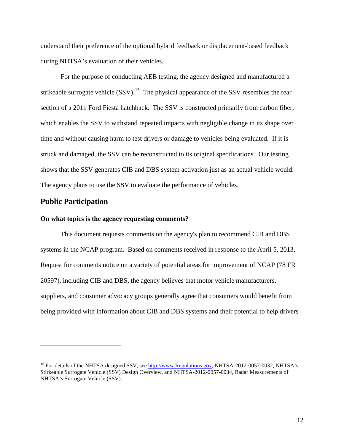understand their preference of the optional hybrid feedback or displacement-based feedback during NHTSA's evaluation of their vehicles.

For the purpose of conducting AEB testing, the agency designed and manufactured a strikeable surrogate vehicle  $(SSV)$ .<sup>15</sup> The physical appearance of the SSV resembles the rear section of a 2011 Ford Fiesta hatchback. The SSV is constructed primarily from carbon fiber, which enables the SSV to withstand repeated impacts with negligible change in its shape over time and without causing harm to test drivers or damage to vehicles being evaluated. If it is struck and damaged, the SSV can be reconstructed to its original specifications. Our testing shows that the SSV generates CIB and DBS system activation just as an actual vehicle would. The agency plans to use the SSV to evaluate the performance of vehicles.

# **Public Participation**

ı

#### **On what topics is the agency requesting comments?**

This document requests comments on the agency's plan to recommend CIB and DBS systems in the NCAP program. Based on comments received in response to the April 5, 2013, Request for comments notice on a variety of potential areas for improvement of NCAP (78 FR 20597), including CIB and DBS, the agency believes that motor vehicle manufacturers, suppliers, and consumer advocacy groups generally agree that consumers would benefit from being provided with information about CIB and DBS systems and their potential to help drivers

<span id="page-11-0"></span><sup>&</sup>lt;sup>15</sup> For details of the NHTSA designed SSV, see [http://www.Regulations.gov,](http://www.regulations.gov/) NHTSA-2012-0057-0032, NHTSA's Stirkeable Surrogate Vehicle (SSV) Design Overview, and NHTSA-2012-0057-0034, Radar Measurements of NHTSA's Surrogate Vehicle (SSV).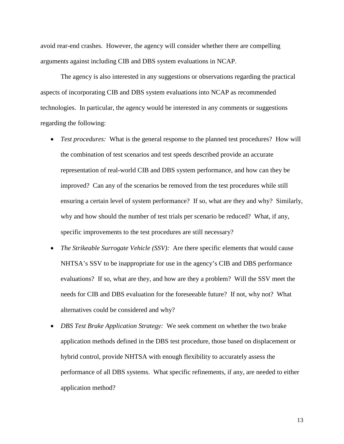avoid rear-end crashes. However, the agency will consider whether there are compelling arguments against including CIB and DBS system evaluations in NCAP.

The agency is also interested in any suggestions or observations regarding the practical aspects of incorporating CIB and DBS system evaluations into NCAP as recommended technologies. In particular, the agency would be interested in any comments or suggestions regarding the following:

- *Test procedures:* What is the general response to the planned test procedures? How will the combination of test scenarios and test speeds described provide an accurate representation of real-world CIB and DBS system performance, and how can they be improved? Can any of the scenarios be removed from the test procedures while still ensuring a certain level of system performance? If so, what are they and why? Similarly, why and how should the number of test trials per scenario be reduced? What, if any, specific improvements to the test procedures are still necessary?
- *The Strikeable Surrogate Vehicle (SSV)*: Are there specific elements that would cause NHTSA's SSV to be inappropriate for use in the agency's CIB and DBS performance evaluations? If so, what are they, and how are they a problem? Will the SSV meet the needs for CIB and DBS evaluation for the foreseeable future? If not, why not? What alternatives could be considered and why?
- *DBS Test Brake Application Strategy:* We seek comment on whether the two brake application methods defined in the DBS test procedure, those based on displacement or hybrid control, provide NHTSA with enough flexibility to accurately assess the performance of all DBS systems. What specific refinements, if any, are needed to either application method?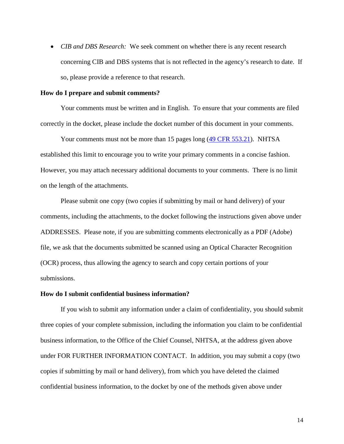• *CIB and DBS Research:* We seek comment on whether there is any recent research concerning CIB and DBS systems that is not reflected in the agency's research to date. If so, please provide a reference to that research.

#### **How do I prepare and submit comments?**

Your comments must be written and in English. To ensure that your comments are filed correctly in the docket, please include the docket number of this document in your comments.

Your comments must not be more than 15 pages long [\(49 CFR 553.21\)](https://www.federalregister.gov/select-citation/2013/06/26/49-CFR-553.21). NHTSA established this limit to encourage you to write your primary comments in a concise fashion. However, you may attach necessary additional documents to your comments. There is no limit on the length of the attachments.

Please submit one copy (two copies if submitting by mail or hand delivery) of your comments, including the attachments, to the docket following the instructions given above under ADDRESSES. Please note, if you are submitting comments electronically as a PDF (Adobe) file, we ask that the documents submitted be scanned using an Optical Character Recognition (OCR) process, thus allowing the agency to search and copy certain portions of your submissions.

#### **How do I submit confidential business information?**

If you wish to submit any information under a claim of confidentiality, you should submit three copies of your complete submission, including the information you claim to be confidential business information, to the Office of the Chief Counsel, NHTSA, at the address given above under FOR FURTHER INFORMATION CONTACT. In addition, you may submit a copy (two copies if submitting by mail or hand delivery), from which you have deleted the claimed confidential business information, to the docket by one of the methods given above under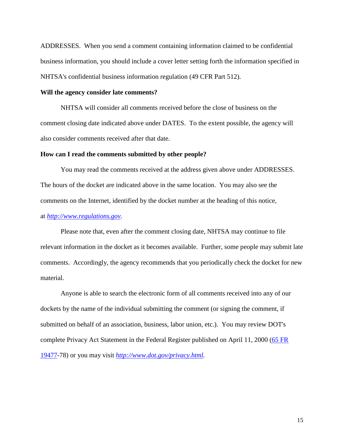ADDRESSES. When you send a comment containing information claimed to be confidential business information, you should include a cover letter setting forth the information specified in NHTSA's confidential business information regulation [\(49 CFR Part 512\)](https://www.federalregister.gov/select-citation/2013/06/26/49-CFR-512).

### **Will the agency consider late comments?**

NHTSA will consider all comments received before the close of business on the comment closing date indicated above under DATES. To the extent possible, the agency will also consider comments received after that date.

#### **How can I read the comments submitted by other people?**

You may read the comments received at the address given above under ADDRESSES. The hours of the docket are indicated above in the same location. You may also see the comments on the Internet, identified by the docket number at the heading of this notice,

# at *[http://www.regulations.gov.](http://www.regulations.gov/)*

Please note that, even after the comment closing date, NHTSA may continue to file relevant information in the docket as it becomes available. Further, some people may submit late comments. Accordingly, the agency recommends that you periodically check the docket for new material.

Anyone is able to search the electronic form of all comments received into any of our dockets by the name of the individual submitting the comment (or signing the comment, if submitted on behalf of an association, business, labor union, etc.). You may review DOT's complete Privacy Act Statement in the Federal Register published on April 11, 2000 [\(65 FR](https://www.federalregister.gov/citation/65-FR-19477)  [19477-](https://www.federalregister.gov/citation/65-FR-19477)78) or you may visit *[http://www.dot.gov/privacy.html.](http://www.dot.gov/privacy.html)*